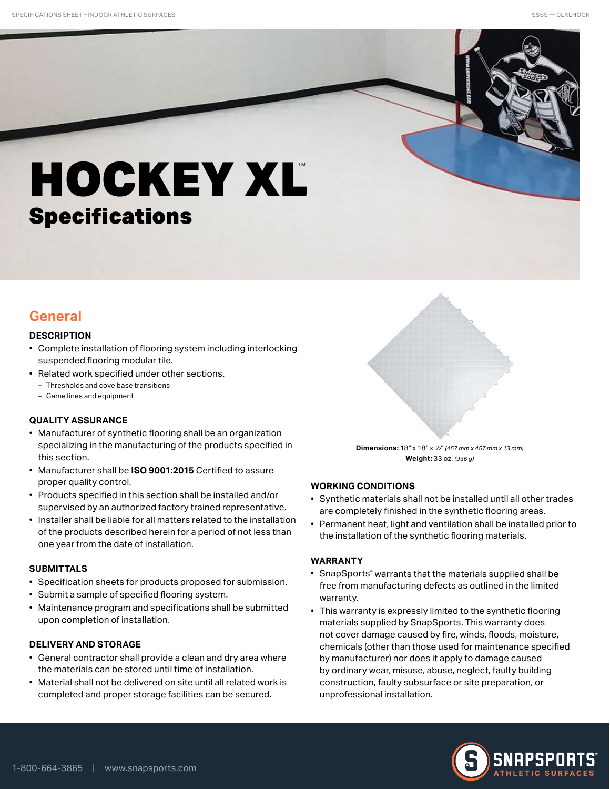# **HOCKEY XL** Specifications

### **General**

#### **DESCRIPTION**

- Complete installation of flooring system including interlocking suspended flooring modular tile.
- Related work specified under other sections.
	- Thresholds and cove base transitions
	- Game lines and equipment

#### **QUALITY ASSURANCE**

- Manufacturer of synthetic flooring shall be an organization specializing in the manufacturing of the products specified in this section.
- Manufacturer shall be **ISO 9001:2015** Certified to assure proper quality control.
- Products specified in this section shall be installed and/or supervised by an authorized factory trained representative.
- Installer shall be liable for all matters related to the installation of the products described herein for a period of not less than one year from the date of installation.

#### **SUBMITTALS**

- Specification sheets for products proposed for submission.
- Submit a sample of specified flooring system.
- Maintenance program and specifications shall be submitted upon completion of installation.

#### **DELIVERY AND STORAGE**

- General contractor shall provide a clean and dry area where the materials can be stored until time of installation.
- Material shall not be delivered on site until all related work is completed and proper storage facilities can be secured.



**Dimensions:** 18" x 18" x 1/2" *(457 mm x 457 mm x 13 mm)* **Weight:** 33 oz. *(936 g)*

#### **WORKING CONDITIONS**

- Synthetic materials shall not be installed until all other trades are completely finished in the synthetic flooring areas.
- Permanent heat, light and ventilation shall be installed prior to the installation of the synthetic flooring materials.

#### **WARRANTY**

- SnapSports® warrants that the materials supplied shall be free from manufacturing defects as outlined in the limited warranty.
- This warranty is expressly limited to the synthetic flooring materials supplied by SnapSports. This warranty does not cover damage caused by fire, winds, floods, moisture, chemicals (other than those used for maintenance specified by manufacturer) nor does it apply to damage caused by ordinary wear, misuse, abuse, neglect, faulty building construction, faulty subsurface or site preparation, or unprofessional installation.